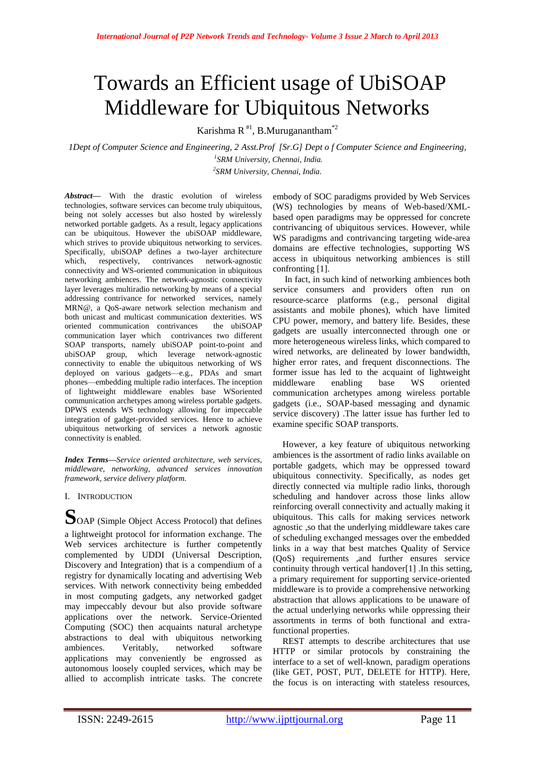# Towards an Efficient usage of UbiSOAP Middleware for Ubiquitous Networks

Karishma R<sup>#1</sup>, B.Muruganantham<sup>\*2</sup>

*1Dept of Computer Science and Engineering, 2 Asst.Prof [Sr.G] Dept o f Computer Science and Engineering, 1 SRM University, Chennai, India. 2 SRM University, Chennai, India.*

*Abstract***—** With the drastic evolution of wireless technologies, software services can become truly ubiquitous, being not solely accesses but also hosted by wirelessly networked portable gadgets. As a result, legacy applications can be ubiquitous. However the ubiSOAP middleware, which strives to provide ubiquitous networking to services. Specifically, ubiSOAP defines a two-layer architecture which, respectively, contrivances network-agnostic connectivity and WS-oriented communication in ubiquitous networking ambiences. The network-agnostic connectivity layer leverages multiradio networking by means of a special addressing contrivance for networked services, namely MRN@, a QoS-aware network selection mechanism and both unicast and multicast communication dexterities. WS oriented communication contrivances the ubiSOAP communication layer which contrivances two different SOAP transports, namely ubiSOAP point-to-point and ubiSOAP group, which leverage network-agnostic connectivity to enable the ubiquitous networking of WS deployed on various gadgets—e.g., PDAs and smart phones—embedding multiple radio interfaces. The inception of lightweight middleware enables base WSoriented communication archetypes among wireless portable gadgets. DPWS extends WS technology allowing for impeccable integration of gadget-provided services. Hence to achieve ubiquitous networking of services a network agnostic connectivity is enabled.

*Index Terms—Service oriented architecture, web services, middleware, networking, advanced services innovation framework, service delivery platform.*

I. INTRODUCTION

**S**OAP (Simple Object Access Protocol) that defines a lightweight protocol for information exchange. The Web services architecture is further competently complemented by UDDI (Universal Description, Discovery and Integration) that is a compendium of a registry for dynamically locating and advertising Web services. With network connectivity being embedded in most computing gadgets, any networked gadget may impeccably devour but also provide software applications over the network. Service-Oriented Computing (SOC) then acquaints natural archetype abstractions to deal with ubiquitous networking ambiences. Veritably, networked software applications may conveniently be engrossed as autonomous loosely coupled services, which may be allied to accomplish intricate tasks. The concrete

embody of SOC paradigms provided by Web Services (WS) technologies by means of Web-based/XMLbased open paradigms may be oppressed for concrete contrivancing of ubiquitous services. However, while WS paradigms and contrivancing targeting wide-area domains are effective technologies, supporting WS access in ubiquitous networking ambiences is still confronting [1].

In fact, in such kind of networking ambiences both service consumers and providers often run on resource-scarce platforms (e.g., personal digital assistants and mobile phones), which have limited CPU power, memory, and battery life. Besides, these gadgets are usually interconnected through one or more heterogeneous wireless links, which compared to wired networks, are delineated by lower bandwidth, higher error rates, and frequent disconnections. The former issue has led to the acquaint of lightweight middleware enabling base WS oriented communication archetypes among wireless portable gadgets (i.e., SOAP-based messaging and dynamic service discovery) .The latter issue has further led to examine specific SOAP transports.

However, a key feature of ubiquitous networking ambiences is the assortment of radio links available on portable gadgets, which may be oppressed toward ubiquitous connectivity. Specifically, as nodes get directly connected via multiple radio links, thorough scheduling and handover across those links allow reinforcing overall connectivity and actually making it ubiquitous. This calls for making services network agnostic ,so that the underlying middleware takes care of scheduling exchanged messages over the embedded links in a way that best matches Quality of Service (QoS) requirements ,and further ensures service continuity through vertical handover[1] .In this setting, a primary requirement for supporting service-oriented middleware is to provide a comprehensive networking abstraction that allows applications to be unaware of the actual underlying networks while oppressing their assortments in terms of both functional and extrafunctional properties.

REST attempts to describe architectures that use HTTP or similar protocols by constraining the interface to a set of well-known, paradigm operations (like GET, POST, PUT, DELETE for HTTP). Here, the focus is on interacting with stateless resources,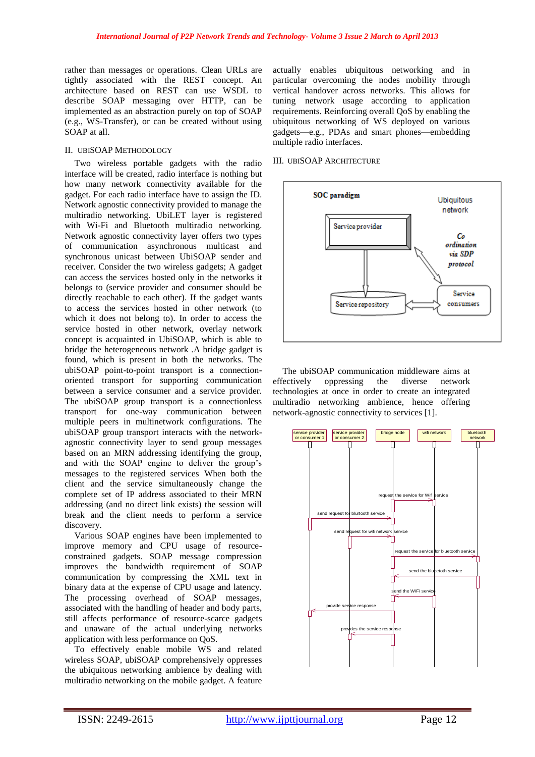rather than messages or operations. Clean URLs are tightly associated with the REST concept. An architecture based on REST can use WSDL to describe SOAP messaging over HTTP, can be implemented as an abstraction purely on top of SOAP (e.g., WS-Transfer), or can be created without using SOAP at all.

# II. UBISOAP METHODOLOGY

Two wireless portable gadgets with the radio interface will be created, radio interface is nothing but how many network connectivity available for the gadget. For each radio interface have to assign the ID. Network agnostic connectivity provided to manage the multiradio networking. UbiLET layer is registered with Wi-Fi and Bluetooth multiradio networking. Network agnostic connectivity layer offers two types of communication asynchronous multicast and synchronous unicast between UbiSOAP sender and receiver. Consider the two wireless gadgets; A gadget can access the services hosted only in the networks it belongs to (service provider and consumer should be directly reachable to each other). If the gadget wants to access the services hosted in other network (to which it does not belong to). In order to access the service hosted in other network, overlay network concept is acquainted in UbiSOAP, which is able to bridge the heterogeneous network .A bridge gadget is found, which is present in both the networks. The ubiSOAP point-to-point transport is a connectionoriented transport for supporting communication between a service consumer and a service provider. The ubiSOAP group transport is a connectionless transport for one-way communication between multiple peers in multinetwork configurations. The ubiSOAP group transport interacts with the networkagnostic connectivity layer to send group messages based on an MRN addressing identifying the group, and with the SOAP engine to deliver the group's messages to the registered services When both the client and the service simultaneously change the complete set of IP address associated to their MRN addressing (and no direct link exists) the session will break and the client needs to perform a service discovery.

Various SOAP engines have been implemented to improve memory and CPU usage of resourceconstrained gadgets. SOAP message compression improves the bandwidth requirement of SOAP communication by compressing the XML text in binary data at the expense of CPU usage and latency. The processing overhead of SOAP messages, associated with the handling of header and body parts, still affects performance of resource-scarce gadgets and unaware of the actual underlying networks application with less performance on QoS.

To effectively enable mobile WS and related wireless SOAP, ubiSOAP comprehensively oppresses the ubiquitous networking ambience by dealing with multiradio networking on the mobile gadget. A feature

actually enables ubiquitous networking and in particular overcoming the nodes mobility through vertical handover across networks. This allows for tuning network usage according to application requirements. Reinforcing overall QoS by enabling the ubiquitous networking of WS deployed on various gadgets—e.g., PDAs and smart phones—embedding multiple radio interfaces.

#### III. UBISOAP ARCHITECTURE



The ubiSOAP communication middleware aims at effectively oppressing the diverse network technologies at once in order to create an integrated multiradio networking ambience, hence offering network-agnostic connectivity to services [1].

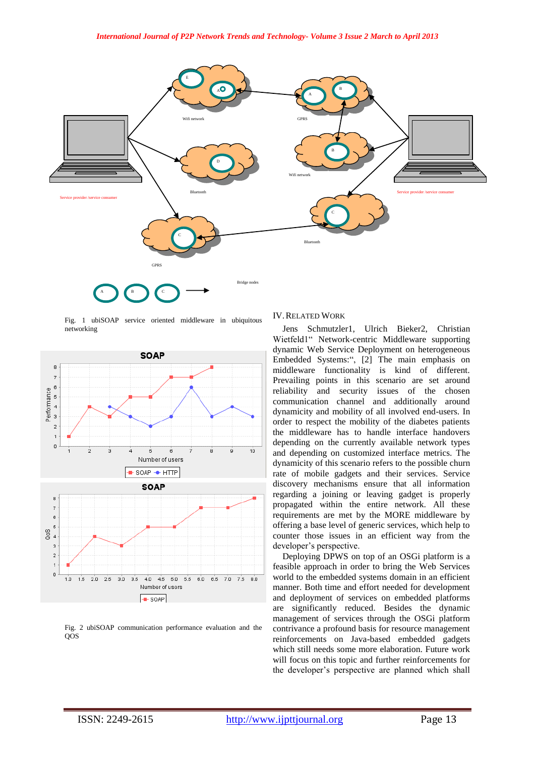

Fig. 1 ubiSOAP service oriented middleware in ubiquitous networking



Fig. 2 ubiSOAP communication performance evaluation and the QOS

### IV.RELATED WORK

Jens Schmutzler1, Ulrich Bieker2, Christian Wietfeld1" Network-centric Middleware supporting dynamic Web Service Deployment on heterogeneous Embedded Systems:", [2] The main emphasis on middleware functionality is kind of different. Prevailing points in this scenario are set around reliability and security issues of the chosen communication channel and additionally around dynamicity and mobility of all involved end-users. In order to respect the mobility of the diabetes patients the middleware has to handle interface handovers depending on the currently available network types and depending on customized interface metrics. The dynamicity of this scenario refers to the possible churn rate of mobile gadgets and their services. Service discovery mechanisms ensure that all information regarding a joining or leaving gadget is properly propagated within the entire network. All these requirements are met by the MORE middleware by offering a base level of generic services, which help to counter those issues in an efficient way from the developer's perspective.

Deploying DPWS on top of an OSGi platform is a feasible approach in order to bring the Web Services world to the embedded systems domain in an efficient manner. Both time and effort needed for development and deployment of services on embedded platforms are significantly reduced. Besides the dynamic management of services through the OSGi platform contrivance a profound basis for resource management reinforcements on Java-based embedded gadgets which still needs some more elaboration. Future work will focus on this topic and further reinforcements for the developer's perspective are planned which shall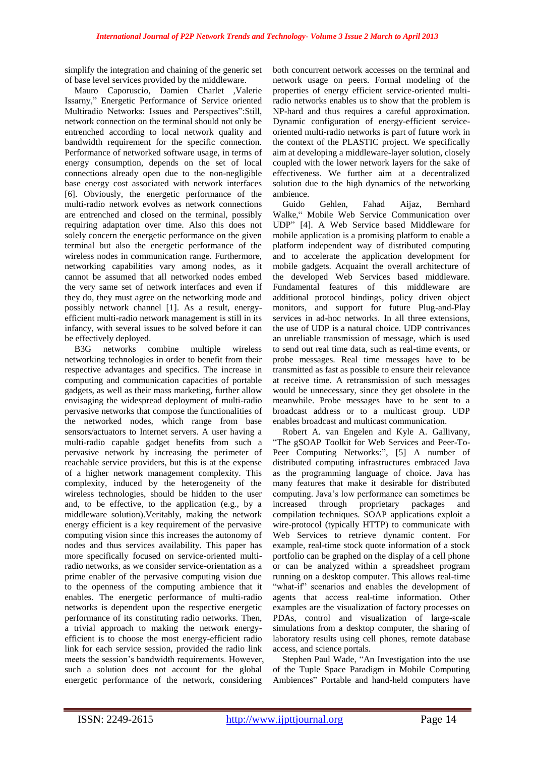simplify the integration and chaining of the generic set of base level services provided by the middleware.

Mauro Caporuscio, Damien Charlet ,Valerie Issarny," Energetic Performance of Service oriented Multiradio Networks: Issues and Perspectives":Still, network connection on the terminal should not only be entrenched according to local network quality and bandwidth requirement for the specific connection. Performance of networked software usage, in terms of energy consumption, depends on the set of local connections already open due to the non-negligible base energy cost associated with network interfaces [6]. Obviously, the energetic performance of the multi-radio network evolves as network connections are entrenched and closed on the terminal, possibly requiring adaptation over time. Also this does not solely concern the energetic performance on the given terminal but also the energetic performance of the wireless nodes in communication range. Furthermore, networking capabilities vary among nodes, as it cannot be assumed that all networked nodes embed the very same set of network interfaces and even if they do, they must agree on the networking mode and possibly network channel [1]. As a result, energyefficient multi-radio network management is still in its infancy, with several issues to be solved before it can be effectively deployed.

B3G networks combine multiple wireless networking technologies in order to benefit from their respective advantages and specifics. The increase in computing and communication capacities of portable gadgets, as well as their mass marketing, further allow envisaging the widespread deployment of multi-radio pervasive networks that compose the functionalities of the networked nodes, which range from base sensors/actuators to Internet servers. A user having a multi-radio capable gadget benefits from such a pervasive network by increasing the perimeter of reachable service providers, but this is at the expense of a higher network management complexity. This complexity, induced by the heterogeneity of the wireless technologies, should be hidden to the user and, to be effective, to the application (e.g., by a middleware solution).Veritably, making the network energy efficient is a key requirement of the pervasive computing vision since this increases the autonomy of nodes and thus services availability. This paper has more specifically focused on service-oriented multiradio networks, as we consider service-orientation as a prime enabler of the pervasive computing vision due to the openness of the computing ambience that it enables. The energetic performance of multi-radio networks is dependent upon the respective energetic performance of its constituting radio networks. Then, a trivial approach to making the network energyefficient is to choose the most energy-efficient radio link for each service session, provided the radio link meets the session's bandwidth requirements. However, such a solution does not account for the global energetic performance of the network, considering both concurrent network accesses on the terminal and network usage on peers. Formal modeling of the properties of energy efficient service-oriented multiradio networks enables us to show that the problem is NP-hard and thus requires a careful approximation. Dynamic configuration of energy-efficient serviceoriented multi-radio networks is part of future work in the context of the PLASTIC project. We specifically aim at developing a middleware-layer solution, closely coupled with the lower network layers for the sake of effectiveness. We further aim at a decentralized solution due to the high dynamics of the networking ambience.

Guido Gehlen, Fahad Aijaz, Bernhard Walke," Mobile Web Service Communication over UDP" [4]. A Web Service based Middleware for mobile application is a promising platform to enable a platform independent way of distributed computing and to accelerate the application development for mobile gadgets. Acquaint the overall architecture of the developed Web Services based middleware. Fundamental features of this middleware are additional protocol bindings, policy driven object monitors, and support for future Plug-and-Play services in ad-hoc networks. In all three extensions, the use of UDP is a natural choice. UDP contrivances an unreliable transmission of message, which is used to send out real time data, such as real-time events, or probe messages. Real time messages have to be transmitted as fast as possible to ensure their relevance at receive time. A retransmission of such messages would be unnecessary, since they get obsolete in the meanwhile. Probe messages have to be sent to a broadcast address or to a multicast group. UDP enables broadcast and multicast communication.

Robert A. van Engelen and Kyle A. Gallivany, "The gSOAP Toolkit for Web Services and Peer-To-Peer Computing Networks:", [5] A number of distributed computing infrastructures embraced Java as the programming language of choice. Java has many features that make it desirable for distributed computing. Java's low performance can sometimes be increased through proprietary packages and compilation techniques. SOAP applications exploit a wire-protocol (typically HTTP) to communicate with Web Services to retrieve dynamic content. For example, real-time stock quote information of a stock portfolio can be graphed on the display of a cell phone or can be analyzed within a spreadsheet program running on a desktop computer. This allows real-time "what-if" scenarios and enables the development of agents that access real-time information. Other examples are the visualization of factory processes on PDAs, control and visualization of large-scale simulations from a desktop computer, the sharing of laboratory results using cell phones, remote database access, and science portals.

Stephen Paul Wade, "An Investigation into the use of the Tuple Space Paradigm in Mobile Computing Ambiences" Portable and hand-held computers have